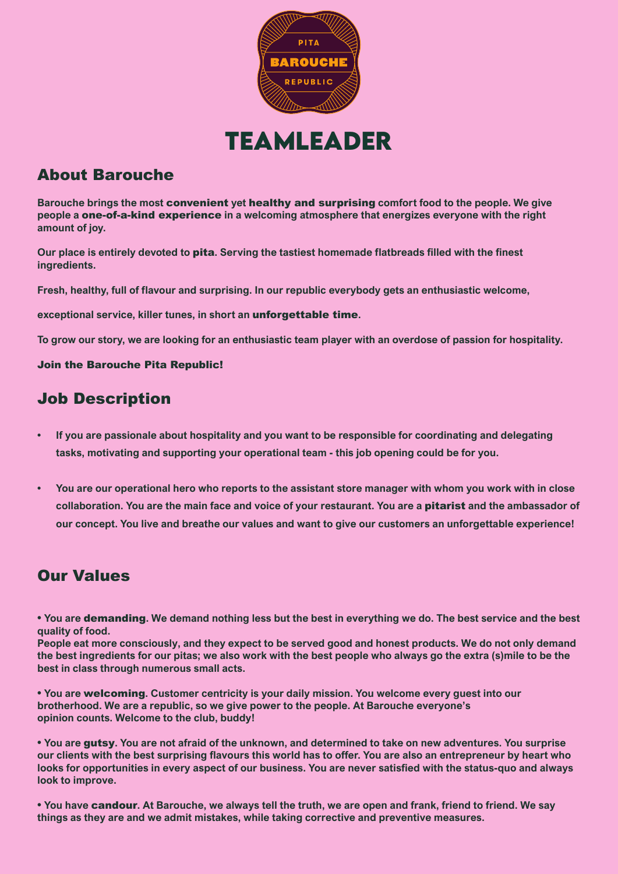

# **Teamleader**

## About Barouche

**Barouche brings the most** convenient **yet** healthy and surprising **comfort food to the people. We give people a** one-of-a-kind experience **in a welcoming atmosphere that energizes everyone with the right amount of joy.**

**Our place is entirely devoted to** pita**. Serving the tastiest homemade flatbreads filled with the finest ingredients.**

**Fresh, healthy, full of flavour and surprising. In our republic everybody gets an enthusiastic welcome,**

**exceptional service, killer tunes, in short an** unforgettable time**.** 

**To grow our story, we are looking for an enthusiastic team player with an overdose of passion for hospitality.**

#### Join the Barouche Pita Republic!

## Job Description

- **If you are passionale about hospitality and you want to be responsible for coordinating and delegating tasks, motivating and supporting your operational team - this job opening could be for you.**
- **• You are our operational hero who reports to the assistant store manager with whom you work with in close collaboration. You are the main face and voice of your restaurant. You are a** pitarist **and the ambassador of our concept. You live and breathe our values and want to give our customers an unforgettable experience!**

## Our Values

**• You are** demanding**. We demand nothing less but the best in everything we do. The best service and the best quality of food.**

**People eat more consciously, and they expect to be served good and honest products. We do not only demand the best ingredients for our pitas; we also work with the best people who always go the extra (s)mile to be the best in class through numerous small acts.**

**• You are** welcoming**. Customer centricity is your daily mission. You welcome every guest into our brotherhood. We are a republic, so we give power to the people. At Barouche everyone's opinion counts. Welcome to the club, buddy!**

**• You are** gutsy**. You are not afraid of the unknown, and determined to take on new adventures. You surprise our clients with the best surprising flavours this world has to offer. You are also an entrepreneur by heart who looks for opportunities in every aspect of our business. You are never satisfied with the status-quo and always look to improve.**

**• You have** candour**. At Barouche, we always tell the truth, we are open and frank, friend to friend. We say things as they are and we admit mistakes, while taking corrective and preventive measures.**